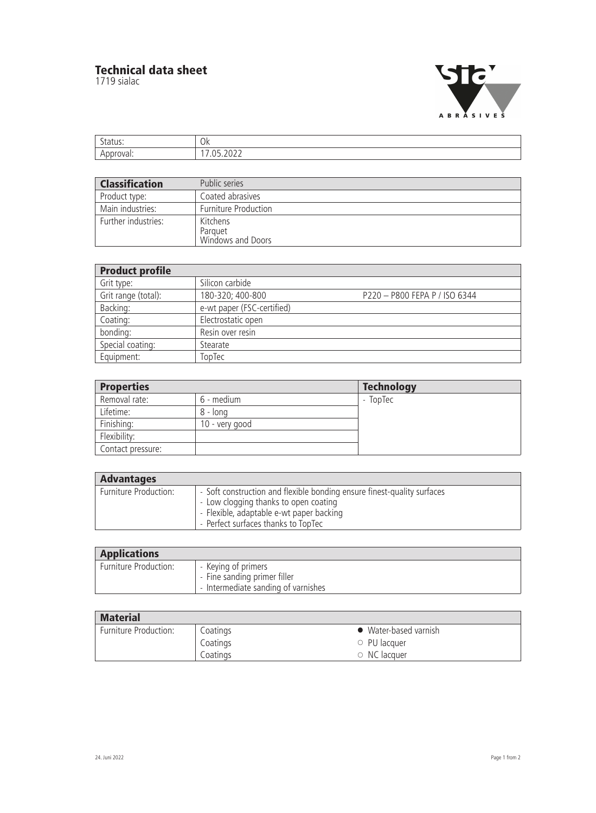## **Technical data sheet**

1719 sialac



| $\bigcap$<br>◡ |
|----------------|
|                |

| <b>Classification</b> | Public series                            |
|-----------------------|------------------------------------------|
| Product type:         | Coated abrasives                         |
| Main industries:      | <b>Furniture Production</b>              |
| Further industries:   | Kitchens<br>Parquet<br>Windows and Doors |

| <b>Product profile</b> |                            |                               |  |  |
|------------------------|----------------------------|-------------------------------|--|--|
| Grit type:             | Silicon carbide            |                               |  |  |
| Grit range (total):    | 180-320; 400-800           | P220 - P800 FEPA P / ISO 6344 |  |  |
| Backing:               | e-wt paper (FSC-certified) |                               |  |  |
| Coating:               | Electrostatic open         |                               |  |  |
| bonding:               | Resin over resin           |                               |  |  |
| Special coating:       | Stearate                   |                               |  |  |
| Equipment:             | TopTec                     |                               |  |  |

| <b>Properties</b> |                | <b>Technology</b> |
|-------------------|----------------|-------------------|
| Removal rate:     | 6 - medium     | - TopTec          |
| Lifetime:         | 8 - long       |                   |
| Finishing:        | 10 - very good |                   |
| Flexibility:      |                |                   |
| Contact pressure: |                |                   |

| <b>Advantages</b>     |                                                                                                                                                                                                     |  |  |
|-----------------------|-----------------------------------------------------------------------------------------------------------------------------------------------------------------------------------------------------|--|--|
| Furniture Production: | - Soft construction and flexible bonding ensure finest-quality surfaces<br>- Low clogging thanks to open coating<br>- Flexible, adaptable e-wt paper backing<br>- Perfect surfaces thanks to TopTec |  |  |

| <b>Applications</b>   |                                                                                            |
|-----------------------|--------------------------------------------------------------------------------------------|
| Furniture Production: | - Keying of primers<br>- Fine sanding primer filler<br>- Intermediate sanding of varnishes |

| <b>Material</b>       |          |                       |  |
|-----------------------|----------|-----------------------|--|
| Furniture Production: | Coatings | • Water-based varnish |  |
|                       | Coatings | $\circ$ PU lacquer    |  |
|                       | Coatings | $\circ$ NC lacquer    |  |